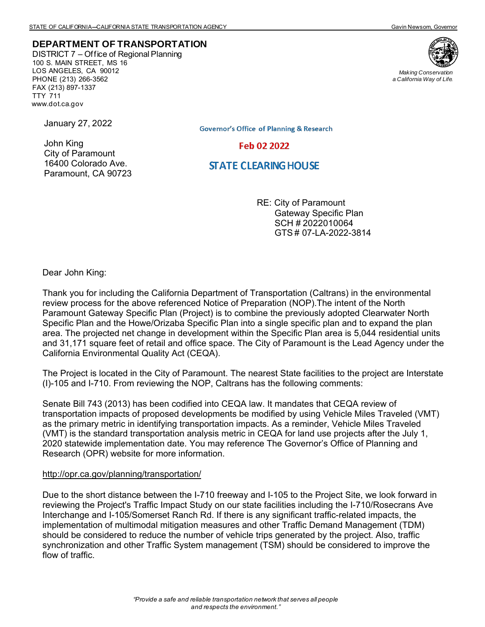## **DEPARTMENT OF TRANSPORTATION**

DISTRICT 7 – Office of Regional Planning 100 S. MAIN STREET, MS 16 LOS ANGELES, CA 90012 PHONE (213) 266-3562 FAX (213) 897-1337 TTY 711 www.dot.ca.gov



*Making Conservation a California Way of Life.*

January 27, 2022

John King City of Paramount 16400 Colorado Ave. Paramount, CA 90723 **Governor's Office of Planning & Research** 

Feb 02 2022

# **STATE CLEARING HOUSE**

RE: City of Paramount Gateway Specific Plan SCH # 2022010064 GTS # 07-LA-2022-3814

Dear John King:

Thank you for including the California Department of Transportation (Caltrans) in the environmental review process for the above referenced Notice of Preparation (NOP).The intent of the North Paramount Gateway Specific Plan (Project) is to combine the previously adopted Clearwater North Specific Plan and the Howe/Orizaba Specific Plan into a single specific plan and to expand the plan area. The projected net change in development within the Specific Plan area is 5,044 residential units and 31,171 square feet of retail and office space. The City of Paramount is the Lead Agency under the California Environmental Quality Act (CEQA).

The Project is located in the City of Paramount. The nearest State facilities to the project are Interstate (I)-105 and I-710. From reviewing the NOP, Caltrans has the following comments:

Senate Bill 743 (2013) has been codified into CEQA law. It mandates that CEQA review of transportation impacts of proposed developments be modified by using Vehicle Miles Traveled (VMT) as the primary metric in identifying transportation impacts. As a reminder, Vehicle Miles Traveled (VMT) is the standard transportation analysis metric in CEQA for land use projects after the July 1, 2020 statewide implementation date. You may reference The Governor's Office of Planning and Research (OPR) website for more information.

#### http://opr.ca.gov/planning/transportation/

Due to the short distance between the I-710 freeway and I-105 to the Project Site, we look forward in reviewing the Project's Traffic Impact Study on our state facilities including the I-710/Rosecrans Ave Interchange and I-105/Somerset Ranch Rd. If there is any significant traffic-related impacts, the implementation of multimodal mitigation measures and other Traffic Demand Management (TDM) should be considered to reduce the number of vehicle trips generated by the project. Also, traffic synchronization and other Traffic System management (TSM) should be considered to improve the flow of traffic.